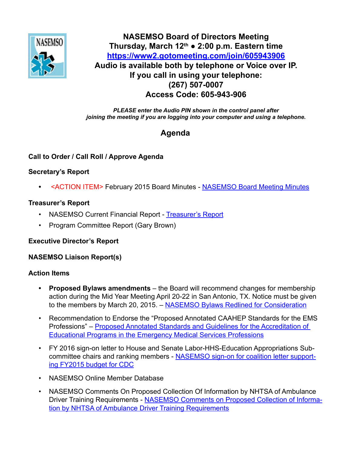

# **NASEMSO Board of Directors Meeting<br>
Thursday, March 12th a 2:00 n m. Eastern ti Thursday, March 12th ● 2:00 p.m. Eastern time <https://www2.gotomeeting.com/join/605943906> Audio is available both by telephone or Voice over IP. If you call in using your telephone: (267) 507-0007 Access Code: 605-943-906**

*PLEASE enter the Audio PIN shown in the control panel after joining the meeting if you are logging into your computer and using a telephone.*

# **Agenda**

# **Call to Order / Call Roll / Approve Agenda**

# **Secretary's Report**

**•** <ACTION ITEM> February 2015 Board Minutes - [NASEMSO Board Meeting Minutes](https://www.nasemso.org/Members/Board/documents/NASEMSO-Board-Minutes-12Feb2015.pdf)

#### **Treasurer's Report**

- NASEMSO Current Financial Report - [Treasurer's Report](https://www.nasemso.org/Members/Board/documents/Treasurers-Report-28Feb2015.xls)
- Program Committee Report (Gary Brown)

#### **Executive Director's Report**

#### **NASEMSO Liaison Report(s)**

#### **Action Items**

- **• Proposed Bylaws amendments** the Board will recommend changes for membership action during the Mid Year Meeting April 20-22 in San Antonio, TX. Notice must be given to the members by March 20, 2015. – [NASEMSO Bylaws Redlined for Consideration](https://www.nasemso.org/Members/Board/documents/NASEMSO-Bylaws-Redlined-for-Consideration-21Apr2015.pdf)
- Recommendation to Endorse the "Proposed Annotated CAAHEP Standards for the EMS Professions" – [Proposed Annotated Standards and Guidelines for the Accreditation of](https://www.nasemso.org/Members/Board/documents/Proposed-Annotated-CAAHEP-Standards-for-EMS-Professions-05Feb-2015.pdf)  [Educational Programs in the Emergency Medical Services Professions](https://www.nasemso.org/Members/Board/documents/Proposed-Annotated-CAAHEP-Standards-for-EMS-Professions-05Feb-2015.pdf)
- FY 2016 sign-on letter to House and Senate Labor-HHS-Education Appropriations Subcommittee chairs and ranking members - [NASEMSO sign-on for coalition letter support](https://www.nasemso.org/Members/Board/documents/FY2016_CDC_Coalition_signon.pdf)[ing FY2015 budget for CDC](https://www.nasemso.org/Members/Board/documents/FY2016_CDC_Coalition_signon.pdf)
- NASEMSO Online Member Database
- NASEMSO Comments On Proposed Collection Of Information by NHTSA of Ambulance Driver Training Requirements - [NASEMSO Comments on Proposed Collection of Informa](https://www.nasemso.org/Members/Board/documents/NASEMSO-Comments-Proposed-Collection-of-Information-by-NHTSA-Ambulance-Driver-Training-Requi.pdf)[tion by NHTSA of Ambulance Driver Training Requirements](https://www.nasemso.org/Members/Board/documents/NASEMSO-Comments-Proposed-Collection-of-Information-by-NHTSA-Ambulance-Driver-Training-Requi.pdf)